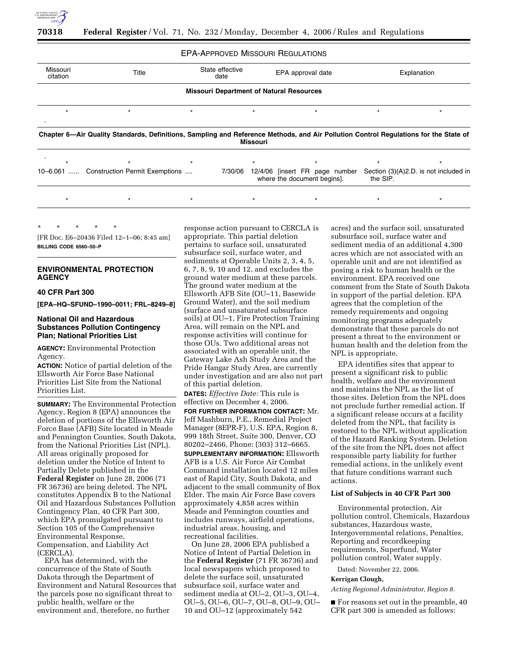

#### EPA-APPROVED MISSOURI REGULATIONS

| Missouri<br>citation                            | State effective<br>Title<br>date                                                                                                     |         |         |                 | EPA approval date                                             |  | Explanation                                       |         |  |  |  |  |  |
|-------------------------------------------------|--------------------------------------------------------------------------------------------------------------------------------------|---------|---------|-----------------|---------------------------------------------------------------|--|---------------------------------------------------|---------|--|--|--|--|--|
| <b>Missouri Department of Natural Resources</b> |                                                                                                                                      |         |         |                 |                                                               |  |                                                   |         |  |  |  |  |  |
| $\star$                                         | $\star$                                                                                                                              | $\star$ |         | $\star$         | $\star$                                                       |  | $\star$                                           | $\star$ |  |  |  |  |  |
|                                                 | Chapter 6—Air Quality Standards, Definitions, Sampling and Reference Methods, and Air Pollution Control Regulations for the State of |         |         | <b>Missouri</b> |                                                               |  |                                                   |         |  |  |  |  |  |
|                                                 | $\star$                                                                                                                              | $\star$ |         | $\star$         |                                                               |  | $\star$                                           |         |  |  |  |  |  |
| 10-6.061                                        | Construction Permit Exemptions                                                                                                       |         | 7/30/06 |                 | 12/4/06 [insert FR page number<br>where the document begins]. |  | Section (3)(A)2.D. is not included in<br>the SIP. |         |  |  |  |  |  |
|                                                 | $\star$                                                                                                                              | $\star$ |         | $\star$         |                                                               |  | $\star$                                           | $\star$ |  |  |  |  |  |
|                                                 |                                                                                                                                      |         |         |                 |                                                               |  |                                                   |         |  |  |  |  |  |

\* \* \* \* \*

[FR Doc. E6–20436 Filed 12–1–06; 8:45 am] **BILLING CODE 6560–50–P** 

# **ENVIRONMENTAL PROTECTION AGENCY**

## **40 CFR Part 300**

**[EPA–HQ–SFUND–1990–0011; FRL–8249–8]** 

## **National Oil and Hazardous Substances Pollution Contingency Plan; National Priorities List**

**AGENCY:** Environmental Protection Agency.

**ACTION:** Notice of partial deletion of the Ellsworth Air Force Base National Priorities List Site from the National Priorities List.

**SUMMARY:** The Environmental Protection Agency, Region 8 (EPA) announces the deletion of portions of the Ellsworth Air Force Base (AFB) Site located in Meade and Pennington Counties, South Dakota, from the National Priorities List (NPL). All areas originally proposed for deletion under the Notice of Intent to Partially Delete published in the **Federal Register** on June 28, 2006 (71 FR 36736) are being deleted. The NPL constitutes Appendix B to the National Oil and Hazardous Substances Pollution Contingency Plan, 40 CFR Part 300, which EPA promulgated pursuant to Section 105 of the Comprehensive Environmental Response, Compensation, and Liability Act (CERCLA).

EPA has determined, with the concurrence of the State of South Dakota through the Department of Environment and Natural Resources that the parcels pose no significant threat to public health, welfare or the environment and, therefore, no further

response action pursuant to CERCLA is appropriate. This partial deletion pertains to surface soil, unsaturated subsurface soil, surface water, and sediments at Operable Units 2, 3, 4, 5, 6, 7, 8, 9, 10 and 12, and excludes the ground water medium at these parcels. The ground water medium at the Ellsworth AFB Site (OU–11, Basewide Ground Water), and the soil medium (surface and unsaturated subsurface soils) at OU–1, Fire Protection Training Area, will remain on the NPL and response activities will continue for those OUs. Two additional areas not associated with an operable unit, the Gateway Lake Ash Study Area and the Pride Hangar Study Area, are currently under investigation and are also not part of this partial deletion.

**DATES:** *Effective Date:* This rule is effective on December 4, 2006. **FOR FURTHER INFORMATION CONTACT:** Mr. Jeff Mashburn, P.E., Remedial Project Manager (8EPR-F), U.S. EPA, Region 8, 999 18th Street, Suite 300, Denver, CO 80202–2466, Phone: (303) 312–6665.

**SUPPLEMENTARY INFORMATION:** Ellsworth AFB is a U.S. Air Force Air Combat Command installation located 12 miles east of Rapid City, South Dakota, and adjacent to the small community of Box Elder. The main Air Force Base covers approximately 4,858 acres within Meade and Pennington counties and includes runways, airfield operations, industrial areas, housing, and recreational facilities.

On June 28, 2006 EPA published a Notice of Intent of Partial Deletion in the **Federal Register** (71 FR 36736) and local newspapers which proposed to delete the surface soil, unsaturated subsurface soil, surface water and sediment media at OU–2, OU–3, OU–4, OU–5, OU–6, OU–7, OU–8, OU–9, OU– 10 and OU–12 (approximately 542

acres) and the surface soil, unsaturated subsurface soil, surface water and sediment media of an additional 4,300 acres which are not associated with an operable unit and are not identified as posing a risk to human health or the environment. EPA received one comment from the State of South Dakota in support of the partial deletion. EPA agrees that the completion of the remedy requirements and ongoing monitoring programs adequately demonstrate that these parcels do not present a threat to the environment or human health and the deletion from the NPL is appropriate.

EPA identifies sites that appear to present a significant risk to public health, welfare and the environment and maintains the NPL as the list of those sites. Deletion from the NPL does not preclude further remedial action. If a significant release occurs at a facility deleted from the NPL, that facility is restored to the NPL without application of the Hazard Ranking System. Deletion of the site from the NPL does not affect responsible party liability for further remedial actions, in the unlikely event that future conditions warrant such actions.

## **List of Subjects in 40 CFR Part 300**

Environmental protection, Air pollution control, Chemicals, Hazardous substances, Hazardous waste, Intergovernmental relations, Penalties, Reporting and recordkeeping requirements, Superfund, Water pollution control, Water supply.

Dated: November 22, 2006.

#### **Kerrigan Clough,**

*Acting Regional Administrator, Region 8.* 

■ For reasons set out in the preamble, 40 CFR part 300 is amended as follows: